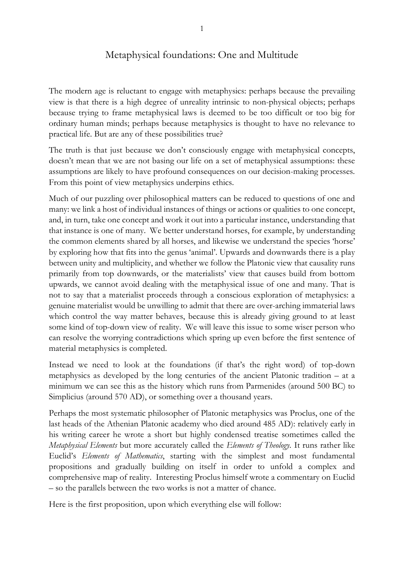## Metaphysical foundations: One and Multitude

The modern age is reluctant to engage with metaphysics: perhaps because the prevailing view is that there is a high degree of unreality intrinsic to non-physical objects; perhaps because trying to frame metaphysical laws is deemed to be too difficult or too big for ordinary human minds; perhaps because metaphysics is thought to have no relevance to practical life. But are any of these possibilities true?

The truth is that just because we don't consciously engage with metaphysical concepts, doesn't mean that we are not basing our life on a set of metaphysical assumptions: these assumptions are likely to have profound consequences on our decision-making processes. From this point of view metaphysics underpins ethics.

Much of our puzzling over philosophical matters can be reduced to questions of one and many: we link a host of individual instances of things or actions or qualities to one concept, and, in turn, take one concept and work it out into a particular instance, understanding that that instance is one of many. We better understand horses, for example, by understanding the common elements shared by all horses, and likewise we understand the species 'horse' by exploring how that fits into the genus 'animal'. Upwards and downwards there is a play between unity and multiplicity, and whether we follow the Platonic view that causality runs primarily from top downwards, or the materialists' view that causes build from bottom upwards, we cannot avoid dealing with the metaphysical issue of one and many. That is not to say that a materialist proceeds through a conscious exploration of metaphysics: a genuine materialist would be unwilling to admit that there are over-arching immaterial laws which control the way matter behaves, because this is already giving ground to at least some kind of top-down view of reality. We will leave this issue to some wiser person who can resolve the worrying contradictions which spring up even before the first sentence of material metaphysics is completed.

Instead we need to look at the foundations (if that's the right word) of top-down metaphysics as developed by the long centuries of the ancient Platonic tradition – at a minimum we can see this as the history which runs from Parmenides (around 500 BC) to Simplicius (around 570 AD), or something over a thousand years.

Perhaps the most systematic philosopher of Platonic metaphysics was Proclus, one of the last heads of the Athenian Platonic academy who died around 485 AD): relatively early in his writing career he wrote a short but highly condensed treatise sometimes called the *Metaphysical Elements* but more accurately called the *Elements of Theology*. It runs rather like Euclid's *Elements of Mathematics*, starting with the simplest and most fundamental propositions and gradually building on itself in order to unfold a complex and comprehensive map of reality. Interesting Proclus himself wrote a commentary on Euclid – so the parallels between the two works is not a matter of chance.

Here is the first proposition, upon which everything else will follow: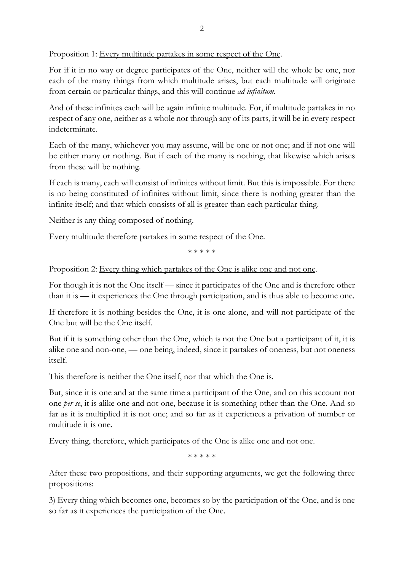Proposition 1: Every multitude partakes in some respect of the One.

For if it in no way or degree participates of the One, neither will the whole be one, nor each of the many things from which multitude arises, but each multitude will originate from certain or particular things, and this will continue *ad infinitum*.

And of these infinites each will be again infinite multitude. For, if multitude partakes in no respect of any one, neither as a whole nor through any of its parts, it will be in every respect indeterminate.

Each of the many, whichever you may assume, will be one or not one; and if not one will be either many or nothing. But if each of the many is nothing, that likewise which arises from these will be nothing.

If each is many, each will consist of infinites without limit. But this is impossible. For there is no being constituted of infinites without limit, since there is nothing greater than the infinite itself; and that which consists of all is greater than each particular thing.

Neither is any thing composed of nothing.

Every multitude therefore partakes in some respect of the One.

\* \* \* \* \*

Proposition 2: Every thing which partakes of the One is alike one and not one.

For though it is not the One itself — since it participates of the One and is therefore other than it is — it experiences the One through participation, and is thus able to become one.

If therefore it is nothing besides the One, it is one alone, and will not participate of the One but will be the One itself.

But if it is something other than the One, which is not the One but a participant of it, it is alike one and non-one, — one being, indeed, since it partakes of oneness, but not oneness itself.

This therefore is neither the One itself, nor that which the One is.

But, since it is one and at the same time a participant of the One, and on this account not one *per se*, it is alike one and not one, because it is something other than the One. And so far as it is multiplied it is not one; and so far as it experiences a privation of number or multitude it is one.

Every thing, therefore, which participates of the One is alike one and not one.

\* \* \* \* \*

After these two propositions, and their supporting arguments, we get the following three propositions:

3) Every thing which becomes one, becomes so by the participation of the One, and is one so far as it experiences the participation of the One.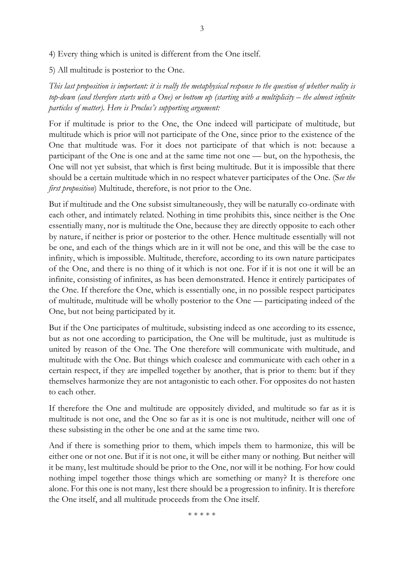4) Every thing which is united is different from the One itself.

5) All multitude is posterior to the One.

*This last proposition is important: it is really the metaphysical response to the question of whether reality is top-down (and therefore starts with a One) or bottom up (starting with a multiplicity – the almost infinite particles of matter). Here is Proclus's supporting argument:*

For if multitude is prior to the One, the One indeed will participate of multitude, but multitude which is prior will not participate of the One, since prior to the existence of the One that multitude was. For it does not participate of that which is not: because a participant of the One is one and at the same time not one — but, on the hypothesis, the One will not yet subsist, that which is first being multitude. But it is impossible that there should be a certain multitude which in no respect whatever participates of the One. (S*ee the first proposition*) Multitude, therefore, is not prior to the One.

But if multitude and the One subsist simultaneously, they will be naturally co-ordinate with each other, and intimately related. Nothing in time prohibits this, since neither is the One essentially many, nor is multitude the One, because they are directly opposite to each other by nature, if neither is prior or posterior to the other. Hence multitude essentially will not be one, and each of the things which are in it will not be one, and this will be the case to infinity, which is impossible. Multitude, therefore, according to its own nature participates of the One, and there is no thing of it which is not one. For if it is not one it will be an infinite, consisting of infinites, as has been demonstrated. Hence it entirely participates of the One. If therefore the One, which is essentially one, in no possible respect participates of multitude, multitude will be wholly posterior to the One — participating indeed of the One, but not being participated by it.

But if the One participates of multitude, subsisting indeed as one according to its essence, but as not one according to participation, the One will be multitude, just as multitude is united by reason of the One. The One therefore will communicate with multitude, and multitude with the One. But things which coalesce and communicate with each other in a certain respect, if they are impelled together by another, that is prior to them: but if they themselves harmonize they are not antagonistic to each other. For opposites do not hasten to each other.

If therefore the One and multitude are oppositely divided, and multitude so far as it is multitude is not one, and the One so far as it is one is not multitude, neither will one of these subsisting in the other be one and at the same time two.

And if there is something prior to them, which impels them to harmonize, this will be either one or not one. But if it is not one, it will be either many or nothing. But neither will it be many, lest multitude should be prior to the One, nor will it be nothing. For how could nothing impel together those things which are something or many? It is therefore one alone. For this one is not many, lest there should be a progression to infinity. It is therefore the One itself, and all multitude proceeds from the One itself.

\* \* \* \* \*